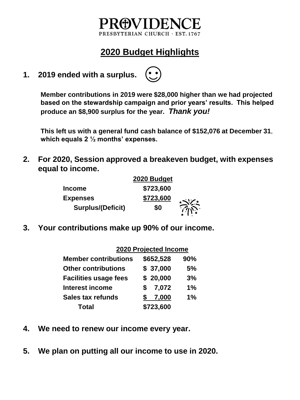### 4WHE PRESBYTERIAN CHURCH · EST. 1767

# **2020 Budget Highlights**

**1. 2019 ended with a surplus.** 



**This left us with a general fund cash balance of \$152,076 at December 31, which equals 2 ½ months' expenses.**

**2. For 2020, Session approved a breakeven budget, with expenses equal to income.**

|                          | 2020 Budget |  |
|--------------------------|-------------|--|
| <b>Income</b>            | \$723,600   |  |
| <b>Expenses</b>          | \$723,600   |  |
| <b>Surplus/(Deficit)</b> | \$0         |  |

**3. Your contributions make up 90% of our income.**

#### **2020 Projected Income**

| <b>Member contributions</b>  | \$652,528   | 90%   |
|------------------------------|-------------|-------|
| <b>Other contributions</b>   | \$37,000    | 5%    |
| <b>Facilities usage fees</b> | \$20,000    | 3%    |
| <b>Interest income</b>       | 7,072<br>S. | 1%    |
| <b>Sales tax refunds</b>     | 7,000       | $1\%$ |
| <b>Total</b>                 | \$723,600   |       |

- **4. We need to renew our income every year.**
- **5. We plan on putting all our income to use in 2020.**